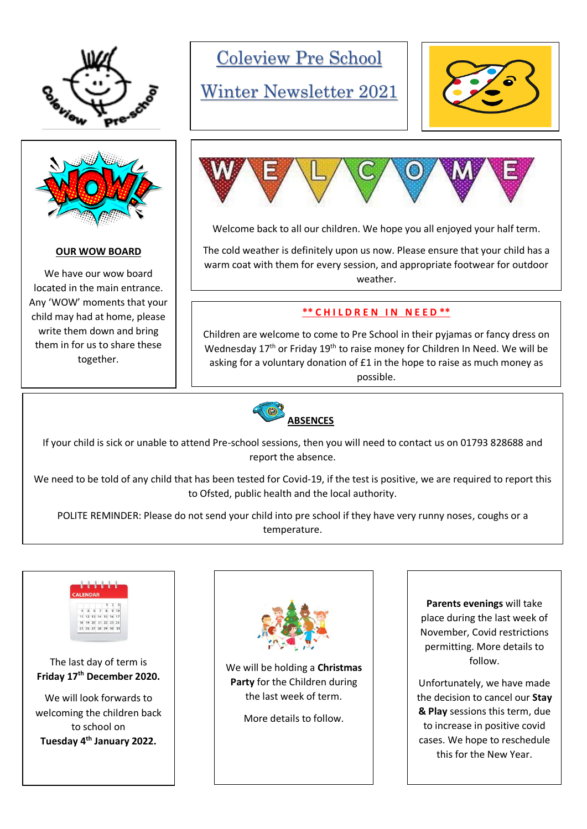



#### **OUR WOW BOARD**

We have our wow board located in the main entrance. Any 'WOW' moments that your child may had at home, please write them down and bring them in for us to share these together.

Coleview Pre School

## Winter Newsletter 2021





Welcome back to all our children. We hope you all enjoyed your half term.

The cold weather is definitely upon us now. Please ensure that your child has a warm coat with them for every session, and appropriate footwear for outdoor weather.

#### **\*\* C H I L D R E N I N N E E D \*\***

Children are welcome to come to Pre School in their pyjamas or fancy dress on Wednesday  $17<sup>th</sup>$  or Friday  $19<sup>th</sup>$  to raise money for Children In Need. We will be asking for a voluntary donation of £1 in the hope to raise as much money as possible.



If your child is sick or unable to attend Pre-school sessions, then you will need to contact us on 01793 828688 and report the absence.

We need to be told of any child that has been tested for Covid-19, if the test is positive, we are required to report this to Ofsted, public health and the local authority.

POLITE REMINDER: Please do not send your child into pre school if they have very runny noses, coughs or a temperature.



#### The last day of term is **Friday 17th December 2020.**

We will look forwards to welcoming the children back to school on **Tuesday 4th January 2022.**



We will be holding a **Christmas Party** for the Children during the last week of term.

More details to follow.

**Parents evenings** will take place during the last week of November, Covid restrictions permitting. More details to follow.

Unfortunately, we have made the decision to cancel our **Stay & Play** sessions this term, due to increase in positive covid cases. We hope to reschedule this for the New Year.